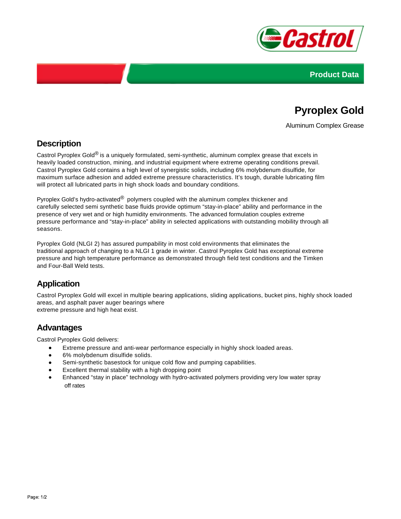



# **Pyroplex Gold**

Aluminum Complex Grease

### **Description**

Castrol Pyroplex Gold<sup>®</sup> is a uniquely formulated, semi-synthetic, aluminum complex grease that excels in heavily loaded construction, mining, and industrial equipment where extreme operating conditions prevail. Castrol Pyroplex Gold contains a high level of synergistic solids, including 6% molybdenum disulfide, for maximum surface adhesion and added extreme pressure characteristics. It's tough, durable lubricating film will protect all lubricated parts in high shock loads and boundary conditions.

Pyroplex Gold's hydro-activated® polymers coupled with the aluminum complex thickener and carefully selected semi synthetic base fluids provide optimum "stay-in-place" ability and performance in the presence of very wet and or high humidity environments. The advanced formulation couples extreme pressure performance and "stay-in-place" ability in selected applications with outstanding mobility through all seasons.

Pyroplex Gold (NLGI 2) has assured pumpability in most cold environments that eliminates the traditional approach of changing to a NLGI 1 grade in winter. Castrol Pyroplex Gold has exceptional extreme pressure and high temperature performance as demonstrated through field test conditions and the Timken and Four-Ball Weld tests.

## **Application**

Castrol Pyroplex Gold will excel in multiple bearing applications, sliding applications, bucket pins, highly shock loaded areas, and asphalt paver auger bearings where extreme pressure and high heat exist.

### **Advantages**

Castrol Pyroplex Gold delivers:

- Extreme pressure and anti-wear performance especially in highly shock loaded areas.
- 6% molybdenum disulfide solids.
- $\bullet$ Semi-synthetic basestock for unique cold flow and pumping capabilities.
- Excellent thermal stability with a high dropping point
- Enhanced "stay in place" technology with hydro-activated polymers providing very low water spray off rates